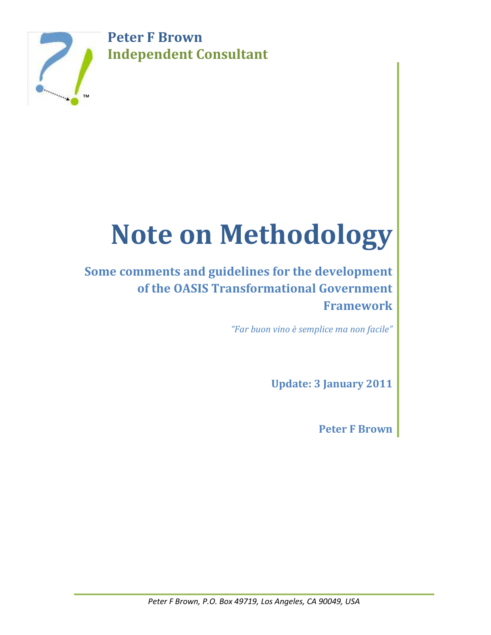**Peter F Brown Independent Consultant**



# **Note on Methodology**

# **Some comments and guidelines for the development of the OASIS Transformational Government Framework**

*"Far buon vino è semplice ma non facile"*

**Update: 3 January 2011**

**Peter F Brown**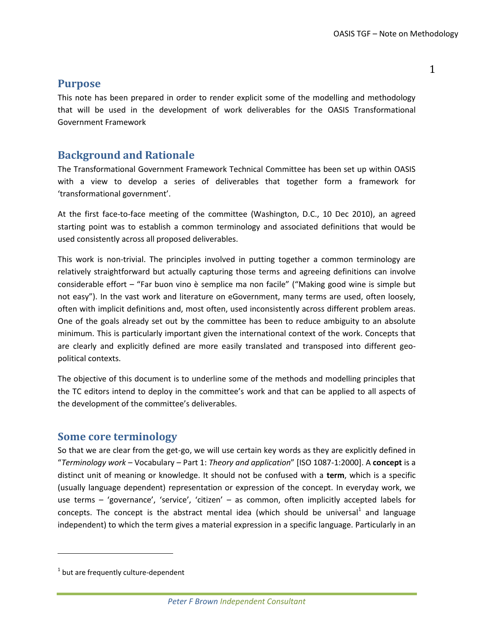1

### **Purpose**

This note has been prepared in order to render explicit some of the modelling and methodology that will be used in the development of work deliverables for the OASIS Transformational Government Framework

# **Background and Rationale**

The Transformational Government Framework Technical Committee has been set up within OASIS with a view to develop a series of deliverables that together form a framework for 'transformational government'.

At the first face-to-face meeting of the committee (Washington, D.C., 10 Dec 2010), an agreed starting point was to establish a common terminology and associated definitions that would be used consistently across all proposed deliverables.

This work is non-trivial. The principles involved in putting together a common terminology are relatively straightforward but actually capturing those terms and agreeing definitions can involve considerable effort – "Far buon vino è semplice ma non facile" ("Making good wine is simple but not easy"). In the vast work and literature on eGovernment, many terms are used, often loosely, often with implicit definitions and, most often, used inconsistently across different problem areas. One of the goals already set out by the committee has been to reduce ambiguity to an absolute minimum. This is particularly important given the international context of the work. Concepts that are clearly and explicitly defined are more easily translated and transposed into different geopolitical contexts.

The objective of this document is to underline some of the methods and modelling principles that the TC editors intend to deploy in the committee's work and that can be applied to all aspects of the development of the committee's deliverables.

## **Some core terminology**

So that we are clear from the get-go, we will use certain key words as they are explicitly defined in "*Terminology work* – Vocabulary – Part 1: *Theory and application*" [ISO 1087-1:2000]. A **concept** is a distinct unit of meaning or knowledge. It should not be confused with a **term**, which is a specific (usually language dependent) representation or expression of the concept. In everyday work, we use terms – 'governance', 'service', 'citizen' – as common, often implicitly accepted labels for concepts. The concept is the abstract mental idea (which should be universal<sup>1</sup> and language independent) to which the term gives a material expression in a specific language. Particularly in an

 $\overline{\phantom{a}}$ 

*Peter F Brown Independent Consultant*

 $^{1}$  but are frequently culture-dependent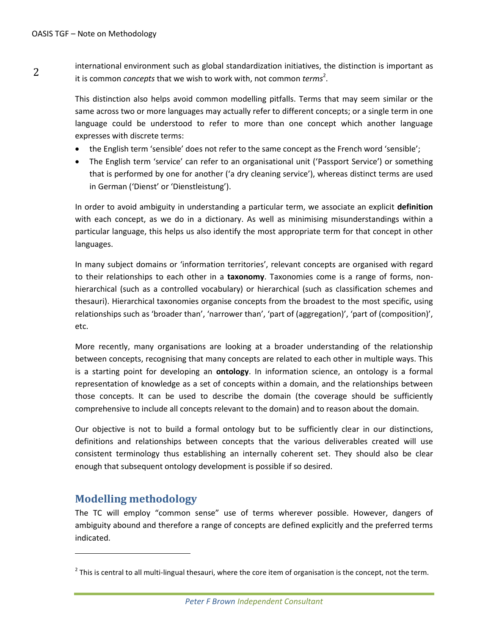2 international environment such as global standardization initiatives, the distinction is important as it is common *concepts* that we wish to work with, not common *terms<sup>2</sup>*.

> This distinction also helps avoid common modelling pitfalls. Terms that may seem similar or the same across two or more languages may actually refer to different concepts; or a single term in one language could be understood to refer to more than one concept which another language expresses with discrete terms:

- the English term 'sensible' does not refer to the same concept as the French word 'sensible';
- The English term 'service' can refer to an organisational unit ('Passport Service') or something that is performed by one for another ('a dry cleaning service'), whereas distinct terms are used in German ('Dienst' or 'Dienstleistung').

In order to avoid ambiguity in understanding a particular term, we associate an explicit **definition** with each concept, as we do in a dictionary. As well as minimising misunderstandings within a particular language, this helps us also identify the most appropriate term for that concept in other languages.

In many subject domains or 'information territories', relevant concepts are organised with regard to their relationships to each other in a **taxonomy**. Taxonomies come is a range of forms, nonhierarchical (such as a controlled vocabulary) or hierarchical (such as classification schemes and thesauri). Hierarchical taxonomies organise concepts from the broadest to the most specific, using relationships such as 'broader than', 'narrower than', 'part of (aggregation)', 'part of (composition)', etc.

More recently, many organisations are looking at a broader understanding of the relationship between concepts, recognising that many concepts are related to each other in multiple ways. This is a starting point for developing an **ontology**. In information science, an ontology is a formal representation of knowledge as a set of concepts within a domain, and the relationships between those concepts. It can be used to describe the domain (the coverage should be sufficiently comprehensive to include all concepts relevant to the domain) and to reason about the domain.

Our objective is not to build a formal ontology but to be sufficiently clear in our distinctions, definitions and relationships between concepts that the various deliverables created will use consistent terminology thus establishing an internally coherent set. They should also be clear enough that subsequent ontology development is possible if so desired.

# **Modelling methodology**

 $\overline{a}$ 

The TC will employ "common sense" use of terms wherever possible. However, dangers of ambiguity abound and therefore a range of concepts are defined explicitly and the preferred terms indicated.

 $^2$  This is central to all multi-lingual thesauri, where the core item of organisation is the concept, not the term.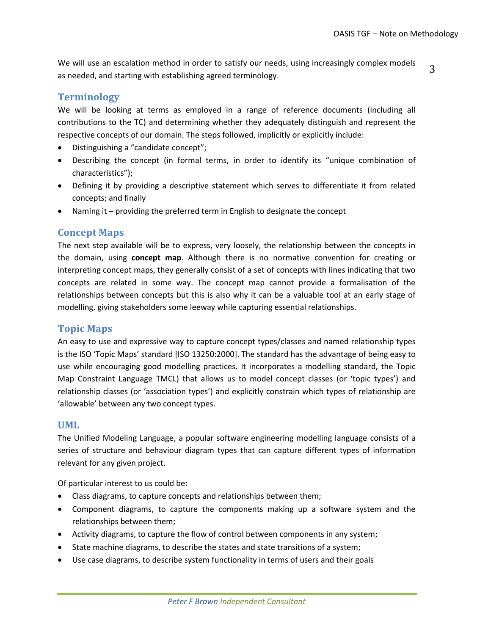We will use an escalation method in order to satisfy our needs, using increasingly complex models as needed, and starting with establishing agreed terminology.

#### 3

#### **Terminology**

We will be looking at terms as employed in a range of reference documents (including all contributions to the TC) and determining whether they adequately distinguish and represent the respective concepts of our domain. The steps followed, implicitly or explicitly include:

- Distinguishing a "candidate concept";
- Describing the concept (in formal terms, in order to identify its "unique combination of characteristics");
- Defining it by providing a descriptive statement which serves to differentiate it from related concepts; and finally
- Naming it providing the preferred term in English to designate the concept

#### **Concept Maps**

The next step available will be to express, very loosely, the relationship between the concepts in the domain, using **concept map**. Although there is no normative convention for creating or interpreting concept maps, they generally consist of a set of concepts with lines indicating that two concepts are related in some way. The concept map cannot provide a formalisation of the relationships between concepts but this is also why it can be a valuable tool at an early stage of modelling, giving stakeholders some leeway while capturing essential relationships.

#### **Topic Maps**

An easy to use and expressive way to capture concept types/classes and named relationship types is the ISO 'Topic Maps' standard [ISO 13250:2000]. The standard has the advantage of being easy to use while encouraging good modelling practices. It incorporates a modelling standard, the Topic Map Constraint Language TMCL) that allows us to model concept classes (or 'topic types') and relationship classes (or 'association types') and explicitly constrain which types of relationship are 'allowable' between any two concept types.

#### **UML**

The Unified Modeling Language, a popular software engineering modelling language consists of a series of structure and behaviour diagram types that can capture different types of information relevant for any given project.

Of particular interest to us could be:

- Class diagrams, to capture concepts and relationships between them;
- Component diagrams, to capture the components making up a software system and the relationships between them;
- Activity diagrams, to capture the flow of control between components in any system;
- State machine diagrams, to describe the states and state transitions of a system;
- Use case diagrams, to describe system functionality in terms of users and their goals